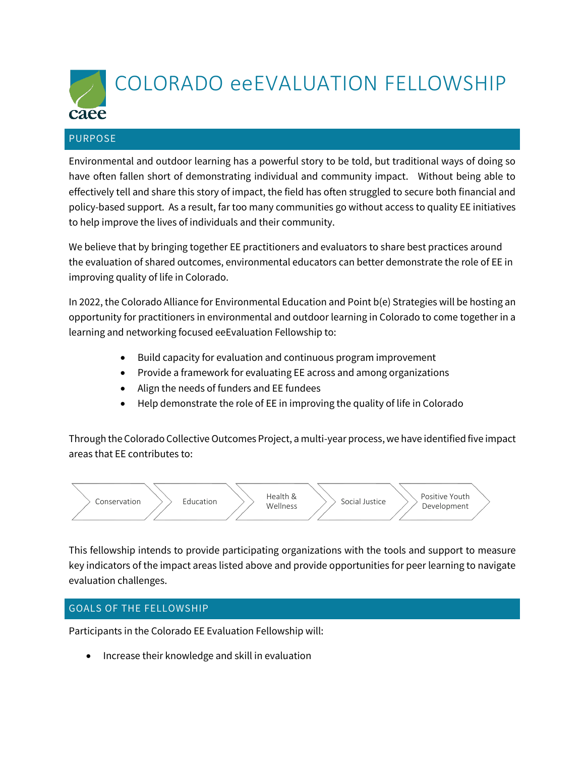

#### PURPOSE

Environmental and outdoor learning has a powerful story to be told, but traditional ways of doing so have often fallen short of demonstrating individual and community impact. Without being able to effectively tell and share this story of impact, the field has often struggled to secure both financial and policy-based support. As a result, far too many communities go without access to quality EE initiatives to help improve the lives of individuals and their community.

We believe that by bringing together EE practitioners and evaluators to share best practices around the evaluation of shared outcomes, environmental educators can better demonstrate the role of EE in improving quality of life in Colorado.

In 2022, the Colorado Alliance for Environmental Education and Point b(e) Strategies will be hosting an opportunity for practitioners in environmental and outdoor learning in Colorado to come together in a learning and networking focused eeEvaluation Fellowship to:

- Build capacity for evaluation and continuous program improvement
- Provide a framework for evaluating EE across and among organizations
- Align the needs of funders and EE fundees
- Help demonstrate the role of EE in improving the quality of life in Colorado

Through the Colorado Collective Outcomes Project, a multi-year process, we have identified five impact areas that EE contributes to:



This fellowship intends to provide participating organizations with the tools and support to measure key indicators of the impact areas listed above and provide opportunities for peer learning to navigate evaluation challenges.

## GOALS OF THE FELLOWSHIP

Participants in the Colorado EE Evaluation Fellowship will:

• Increase their knowledge and skill in evaluation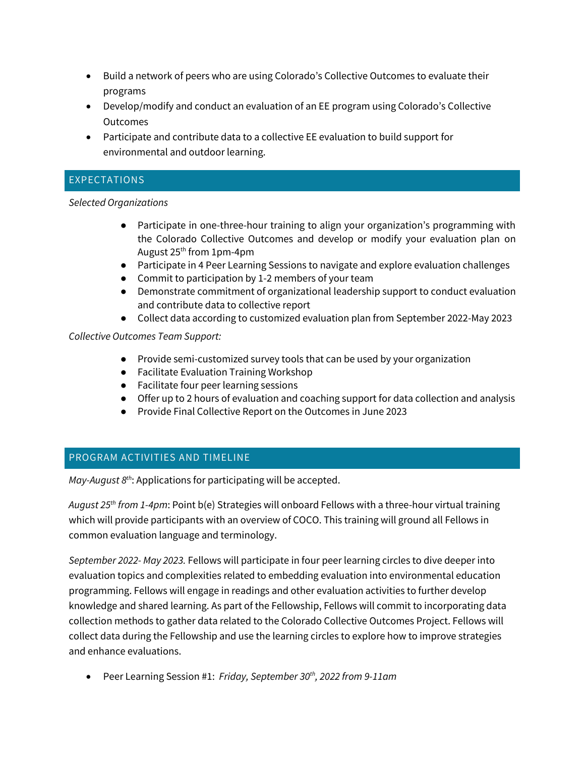- Build a network of peers who are using Colorado's Collective Outcomes to evaluate their programs
- Develop/modify and conduct an evaluation of an EE program using Colorado's Collective Outcomes
- Participate and contribute data to a collective EE evaluation to build support for environmental and outdoor learning.

## EXPECTATIONS

#### *Selected Organizations*

- Participate in one-three-hour training to align your organization's programming with the Colorado Collective Outcomes and develop or modify your evaluation plan on August  $25<sup>th</sup>$  from 1pm-4pm
- Participate in 4 Peer Learning Sessions to navigate and explore evaluation challenges
- Commit to participation by 1-2 members of your team
- Demonstrate commitment of organizational leadership support to conduct evaluation and contribute data to collective report
- Collect data according to customized evaluation plan from September 2022-May 2023

## *Collective Outcomes Team Support:*

- Provide semi-customized survey tools that can be used by your organization
- Facilitate Evaluation Training Workshop
- Facilitate four peer learning sessions
- Offer up to 2 hours of evaluation and coaching support for data collection and analysis
- Provide Final Collective Report on the Outcomes in June 2023

# PROGRAM ACTIVITIES AND TIMELINE

*May-August 8 th*: Applications for participating will be accepted.

*August 25th from 1-4pm*: Point b(e) Strategies will onboard Fellows with a three-hour virtual training which will provide participants with an overview of COCO. This training will ground all Fellows in common evaluation language and terminology.

*September 2022- May 2023.* Fellows will participate in four peer learning circles to dive deeper into evaluation topics and complexities related to embedding evaluation into environmental education programming. Fellows will engage in readings and other evaluation activities to further develop knowledge and shared learning. As part of the Fellowship, Fellows will commit to incorporating data collection methods to gather data related to the Colorado Collective Outcomes Project. Fellows will collect data during the Fellowship and use the learning circles to explore how to improve strategies and enhance evaluations.

• Peer Learning Session #1: *Friday, September 30th, 2022 from 9-11am*